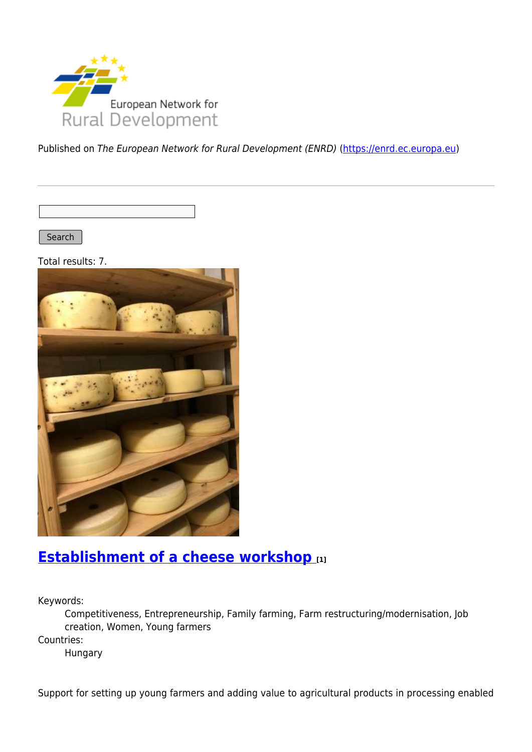

Published on The European Network for Rural Development (ENRD) [\(https://enrd.ec.europa.eu](https://enrd.ec.europa.eu))

Search |

Total results: 7.



## **[Establishment of a cheese workshop](https://enrd.ec.europa.eu/projects-practice/establishment-cheese-workshop_en) [1]**

Keywords:

Competitiveness, Entrepreneurship, Family farming, Farm restructuring/modernisation, Job creation, Women, Young farmers

Countries:

Hungary

Support for setting up young farmers and adding value to agricultural products in processing enabled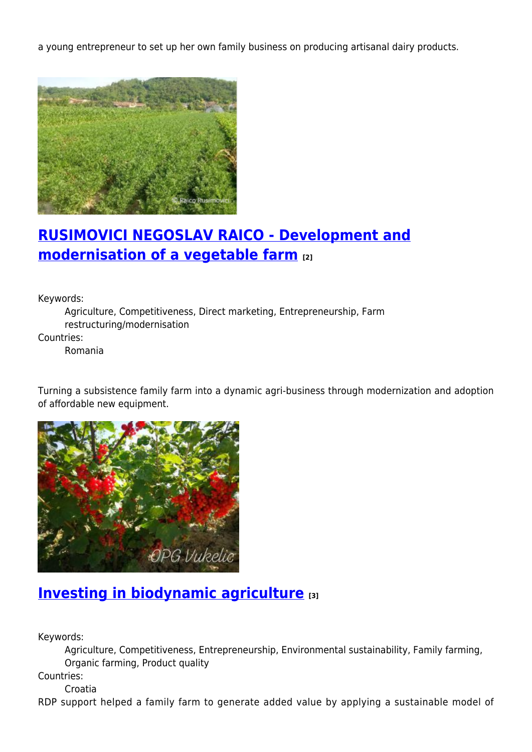a young entrepreneur to set up her own family business on producing artisanal dairy products.



# **[RUSIMOVICI NEGOSLAV RAICO - Development and](https://enrd.ec.europa.eu/projects-practice/rusimovici-negoslav-raico-development-and-modernisation-vegetable-farm_en) [modernisation of a vegetable farm](https://enrd.ec.europa.eu/projects-practice/rusimovici-negoslav-raico-development-and-modernisation-vegetable-farm_en) [2]**

Keywords:

Agriculture, Competitiveness, Direct marketing, Entrepreneurship, Farm restructuring/modernisation

Countries:

Romania

Turning a subsistence family farm into a dynamic agri-business through modernization and adoption of affordable new equipment.



### **[Investing in biodynamic agriculture](https://enrd.ec.europa.eu/projects-practice/investing-biodynamic-agriculture_en) [3]**

Keywords:

Agriculture, Competitiveness, Entrepreneurship, Environmental sustainability, Family farming, Organic farming, Product quality

Countries:

Croatia

RDP support helped a family farm to generate added value by applying a sustainable model of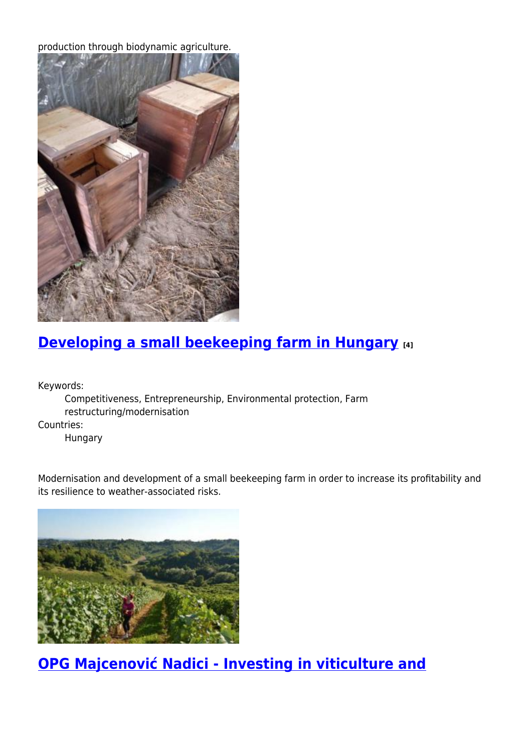production through biodynamic agriculture.



# **[Developing a small beekeeping farm in Hungary](https://enrd.ec.europa.eu/projects-practice/developing-small-beekeeping-farm-hungary_en) [4]**

Keywords:

Competitiveness, Entrepreneurship, Environmental protection, Farm restructuring/modernisation Countries:

Hungary

Modernisation and development of a small beekeeping farm in order to increase its profitability and its resilience to weather-associated risks.



**[OPG Majcenović Nadici - Investing in viticulture and](https://enrd.ec.europa.eu/projects-practice/opg-majcenovic-nadici-investing-viticulture-and-winemaking-equipment_en)**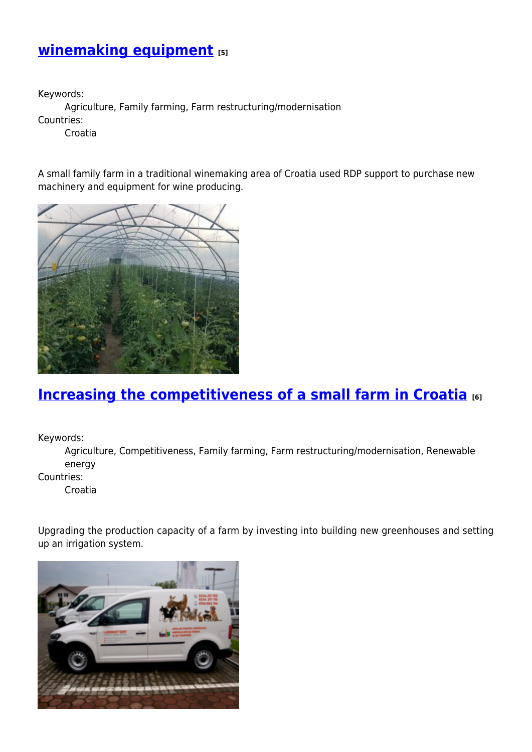## **[winemaking equipment](https://enrd.ec.europa.eu/projects-practice/opg-majcenovic-nadici-investing-viticulture-and-winemaking-equipment_en) [5]**

Keywords: Agriculture, Family farming, Farm restructuring/modernisation Countries:

Croatia

A small family farm in a traditional winemaking area of Croatia used RDP support to purchase new machinery and equipment for wine producing.



#### **[Increasing the competitiveness of a small farm in Croatia](https://enrd.ec.europa.eu/projects-practice/increasing-competitiveness-small-farm-croatia_en) [6]**

Keywords:

Agriculture, Competitiveness, Family farming, Farm restructuring/modernisation, Renewable energy

Countries:

Croatia

Upgrading the production capacity of a farm by investing into building new greenhouses and setting up an irrigation system.